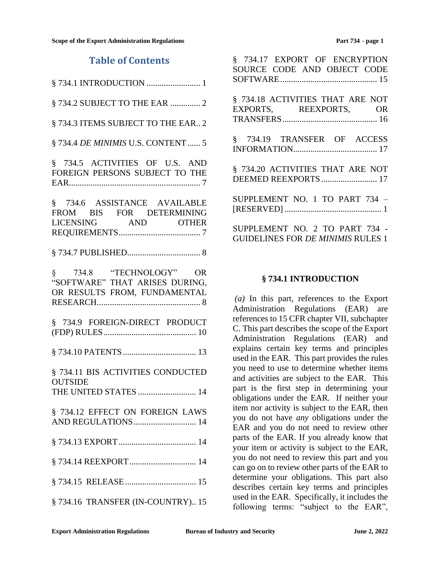## **Table of Contents**

|--|--|--|

[§ 734.2 SUBJECT TO THE EAR](#page-1-0) .............. 2

[§ 734.3 ITEMS SUBJECT TO THE EAR..](#page-1-1) 2

§ 734.4 *DE MINIMIS* [U.S. CONTENT......](#page-4-0) 5

[§ 734.5 ACTIVITIES OF U.S. AND](#page-6-0)  [FOREIGN PERSONS SUBJECT TO THE](#page-6-0)  [EAR.............................................................](#page-6-0) 7

[§ 734.6 ASSISTANCE AVAILABLE](#page-6-1)  [FROM BIS FOR DETERMINING](#page-6-1)  [LICENSING AND OTHER](#page-6-1)  [REQUIREMENTS......................................](#page-6-1) 7

[§ 734.7 PUBLISHED..................................](#page-7-0) 8

[§ 734.8 "TECHNOLOGY" OR](#page-7-1)  ["SOFTWARE" THAT ARISES DURING,](#page-7-1)  [OR RESULTS FROM, FUNDAMENTAL](#page-7-1)  [RESEARCH................................................](#page-7-1) 8

[§ 734.9 FOREIGN-DIRECT PRODUCT](#page-9-0)  [\(FDP\) RULES...........................................](#page-9-0) 10

[§ 734.10 PATENTS..................................](#page-12-0) 13

[§ 734.11 BIS ACTIVITIES CONDUCTED](#page-13-0)  **OUTSIDE** [THE UNITED STATES](#page-13-0) ........................... 14

[§ 734.12 EFFECT ON FOREIGN LAWS](#page-13-1)  [AND REGULATIONS.............................](#page-13-1) 14

- [§ 734.13 EXPORT....................................](#page-13-2) 14
- [§ 734.14 REEXPORT...............................](#page-13-3) 14
- [§ 734.15 RELEASE.................................](#page-14-0) 15
- [§ 734.16 TRANSFER \(IN-COUNTRY\)..](#page-14-1) 15

| § 734.17 EXPORT OF ENCRYPTION<br>SOURCE CODE AND OBJECT CODE |
|--------------------------------------------------------------|
| § 734.18 ACTIVITIES THAT ARE NOT<br>EXPORTS, REEXPORTS, OR   |
| § 734.19 TRANSFER OF ACCESS                                  |
| § 734.20 ACTIVITIES THAT ARE NOT                             |
| SUPPLEMENT NO. 1 TO PART 734 -                               |
| SUPPLEMENT NO. 2 TO PART 734 -                               |

[GUIDELINES FOR](#page-20-0) *DE MINIMIS* RULES 1

#### **§ 734.1 INTRODUCTION**

<span id="page-0-0"></span>*(a)* In this part, references to the Export Administration Regulations (EAR) are references to 15 CFR chapter VII, subchapter C. This part describes the scope of the Export Administration Regulations (EAR) and explains certain key terms and principles used in the EAR. This part provides the rules you need to use to determine whether items [and activities are subject to th](#page-13-0)e EAR. This part is the first step in determining your obligations under the EAR. If neither your item nor activity is subject to the EAR, then you do not have *any* obligations under the EAR and you do not need to review other parts of the EAR. If you already know that your item or activity is subject to the EAR, you do not need to review this part and you can go on to review other parts of the EAR to determine your obligations. This part also describes certain key terms and principles used in the EAR. Specifically, it includes the following terms: "subject to the EAR",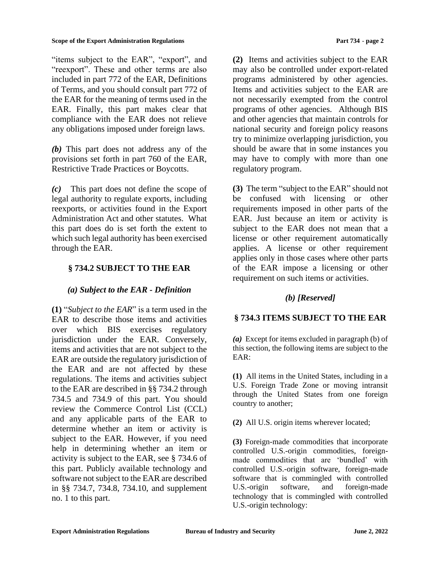"items subject to the EAR", "export", and "reexport". These and other terms are also included in part 772 of the EAR, Definitions of Terms, and you should consult part 772 of the EAR for the meaning of terms used in the EAR. Finally, this part makes clear that compliance with the EAR does not relieve any obligations imposed under foreign laws.

*(b)* This part does not address any of the provisions set forth in part 760 of the EAR, Restrictive Trade Practices or Boycotts.

*(c)* This part does not define the scope of legal authority to regulate exports, including reexports, or activities found in the Export Administration Act and other statutes. What this part does do is set forth the extent to which such legal authority has been exercised through the EAR.

## <span id="page-1-0"></span>**§ 734.2 SUBJECT TO THE EAR**

## *(a) Subject to the EAR - Definition*

**(1)** "*Subject to the EAR*" is a term used in the EAR to describe those items and activities over which BIS exercises regulatory jurisdiction under the EAR. Conversely, items and activities that are not subject to the EAR are outside the regulatory jurisdiction of the EAR and are not affected by these regulations. The items and activities subject to the EAR are described in §§ 734.2 through 734.5 and 734.9 of this part. You should review the Commerce Control List (CCL) and any applicable parts of the EAR to determine whether an item or activity is subject to the EAR. However, if you need help in determining whether an item or activity is subject to the EAR, see § 734.6 of this part. Publicly available technology and software not subject to the EAR are described in §§ 734.7, 734.8, 734.10, and supplement no. 1 to this part.

**(2)** Items and activities subject to the EAR may also be controlled under export-related programs administered by other agencies. Items and activities subject to the EAR are not necessarily exempted from the control programs of other agencies. Although BIS and other agencies that maintain controls for national security and foreign policy reasons try to minimize overlapping jurisdiction, you should be aware that in some instances you may have to comply with more than one regulatory program.

**(3)** The term "subject to the EAR" should not be confused with licensing or other requirements imposed in other parts of the EAR. Just because an item or activity is subject to the EAR does not mean that a license or other requirement automatically applies. A license or other requirement applies only in those cases where other parts of the EAR impose a licensing or other requirement on such items or activities.

## *(b) [Reserved]*

## <span id="page-1-1"></span>**§ 734.3 ITEMS SUBJECT TO THE EAR**

*(a)* Except for items excluded in paragraph (b) of this section, the following items are subject to the EAR:

**(1)** All items in the United States, including in a U.S. Foreign Trade Zone or moving intransit through the United States from one foreign country to another;

**(2)** All U.S. origin items wherever located;

**(3)** Foreign-made commodities that incorporate controlled U.S.-origin commodities, foreignmade commodities that are 'bundled' with controlled U.S.-origin software, foreign-made software that is commingled with controlled U.S.-origin software, and foreign-made technology that is commingled with controlled U.S.-origin technology: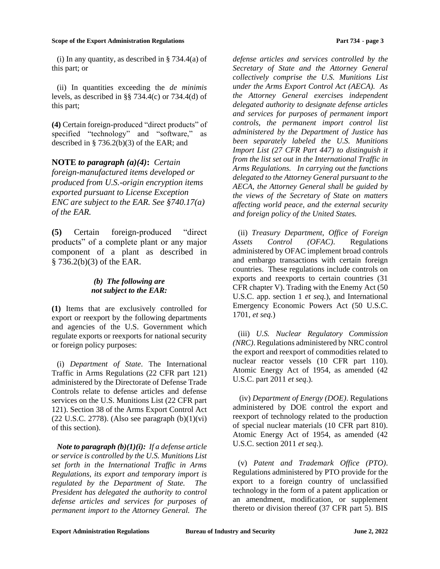(i) In any quantity, as described in  $\S$  734.4(a) of this part; or

(ii) In quantities exceeding the *de minimis*  levels, as described in §§ 734.4(c) or 734.4(d) of this part;

**(4)** Certain foreign-produced "direct products" of specified "technology" and "software," as described in  $\S$  736.2(b)(3) of the EAR; and

**NOTE** *to paragraph (a)(4)***:** *Certain foreign-manufactured items developed or produced from U.S.-origin encryption items exported pursuant to License Exception ENC are subject to the EAR. See §740.17(a) of the EAR.*

**(5)** Certain foreign-produced "direct products" of a complete plant or any major component of a plant as described in § 736.2(b)(3) of the EAR.

### *(b)**The following are not subject to the EAR:*

**(1)** Items that are exclusively controlled for export or reexport by the following departments and agencies of the U.S. Government which regulate exports or reexports for national security or foreign policy purposes:

(i) *Department of State*. The International Traffic in Arms Regulations (22 CFR part 121) administered by the Directorate of Defense Trade Controls relate to defense articles and defense services on the U.S. Munitions List (22 CFR part 121). Section 38 of the Arms Export Control Act  $(22 \text{ U.S.C. } 2778)$ . (Also see paragraph  $(b)(1)(vi)$ ) of this section).

*Note to paragraph (b)(1)(i): If a defense article or service is controlled by the U.S. Munitions List set forth in the International Traffic in Arms Regulations, its export and temporary import is regulated by the Department of State. The President has delegated the authority to control defense articles and services for purposes of permanent import to the Attorney General. The* 

*defense articles and services controlled by the Secretary of State and the Attorney General collectively comprise the U.S. Munitions List under the Arms Export Control Act (AECA). As the Attorney General exercises independent delegated authority to designate defense articles and services for purposes of permanent import controls, the permanent import control list administered by the Department of Justice has been separately labeled the U.S. Munitions Import List (27 CFR Part 447) to distinguish it from the list set out in the International Traffic in Arms Regulations. In carrying out the functions delegated to the Attorney General pursuant to the AECA, the Attorney General shall be guided by the views of the Secretary of State on matters affecting world peace, and the external security and foreign policy of the United States.* 

(ii) *Treasury Department, Office of Foreign Assets Control (OFAC)*. Regulations administered by OFAC implement broad controls and embargo transactions with certain foreign countries. These regulations include controls on exports and reexports to certain countries (31 CFR chapter V). Trading with the Enemy Act (50 U.S.C. app. section 1 *et seq.*), and International Emergency Economic Powers Act (50 U.S.C. 1701, *et seq.*)

(iii) *U.S. Nuclear Regulatory Commission (NRC)*. Regulations administered by NRC control the export and reexport of commodities related to nuclear reactor vessels (10 CFR part 110). Atomic Energy Act of 1954, as amended (42 U.S.C. part 2011 *et seq*.).

(iv) *Department of Energy (DOE)*. Regulations administered by DOE control the export and reexport of technology related to the production of special nuclear materials (10 CFR part 810). Atomic Energy Act of 1954, as amended (42 U.S.C. section 2011 *et seq*.).

(v) *Patent and Trademark Office (PTO)*. Regulations administered by PTO provide for the export to a foreign country of unclassified technology in the form of a patent application or an amendment, modification, or supplement thereto or division thereof (37 CFR part 5). BIS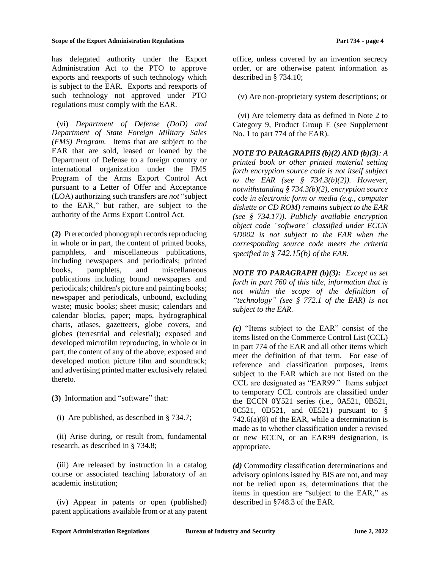has delegated authority under the Export Administration Act to the PTO to approve exports and reexports of such technology which is subject to the EAR. Exports and reexports of such technology not approved under PTO regulations must comply with the EAR.

(vi) *Department of Defense (DoD) and Department of State Foreign Military Sales (FMS) Program.* Items that are subject to the EAR that are sold, leased or loaned by the Department of Defense to a foreign country or international organization under the FMS Program of the Arms Export Control Act pursuant to a Letter of Offer and Acceptance (LOA) authorizing such transfers are *not* "subject to the EAR," but rather, are subject to the authority of the Arms Export Control Act.

**(2)** Prerecorded phonograph records reproducing in whole or in part, the content of printed books, pamphlets, and miscellaneous publications, including newspapers and periodicals; printed books, pamphlets, and miscellaneous publications including bound newspapers and periodicals; children's picture and painting books; newspaper and periodicals, unbound, excluding waste; music books; sheet music; calendars and calendar blocks, paper; maps, hydrographical charts, atlases, gazetteers, globe covers, and globes (terrestrial and celestial); exposed and developed microfilm reproducing, in whole or in part, the content of any of the above; exposed and developed motion picture film and soundtrack; and advertising printed matter exclusively related thereto.

- **(3)** Information and "software" that:
	- (i) Are published, as described in § 734.7;

(ii) Arise during, or result from, fundamental research, as described in § 734.8;

(iii) Are released by instruction in a catalog course or associated teaching laboratory of an academic institution;

(iv) Appear in patents or open (published) patent applications available from or at any patent office, unless covered by an invention secrecy order, or are otherwise patent information as described in § 734.10;

(v) Are non-proprietary system descriptions; or

(vi) Are telemetry data as defined in Note 2 to Category 9, Product Group E (see Supplement No. 1 to part 774 of the EAR).

*NOTE TO PARAGRAPHS (b)(2) AND (b)(3): A printed book or other printed material setting forth encryption source code is not itself subject to the EAR (see § 734.3(b)(2)). However, notwithstanding § 734.3(b)(2), encryption source code in electronic form or media (e.g., computer diskette or CD ROM) remains subject to the EAR (see § 734.17)). Publicly available encryption object code "software" classified under ECCN 5D002 is not subject to the EAR when the corresponding source code meets the criteria specified in § 742.15(b) of the EAR.*

*NOTE TO PARAGRAPH (b)(3): Except as set forth in part 760 of this title, information that is not within the scope of the definition of "technology" (see § 772.1 of the EAR) is not subject to the EAR.*

*(c)* "Items subject to the EAR" consist of the items listed on the Commerce Control List (CCL) in part 774 of the EAR and all other items which meet the definition of that term. For ease of reference and classification purposes, items subject to the EAR which are not listed on the CCL are designated as "EAR99." Items subject to temporary CCL controls are classified under the ECCN 0Y521 series (i.e., 0A521, 0B521,  $0C521$ ,  $0D521$ , and  $0E521$ ) pursuant to § 742.6(a)(8) of the EAR, while a determination is made as to whether classification under a revised or new ECCN, or an EAR99 designation, is appropriate.

*(d)* Commodity classification determinations and advisory opinions issued by BIS are not, and may not be relied upon as, determinations that the items in question are "subject to the EAR," as described in §748.3 of the EAR.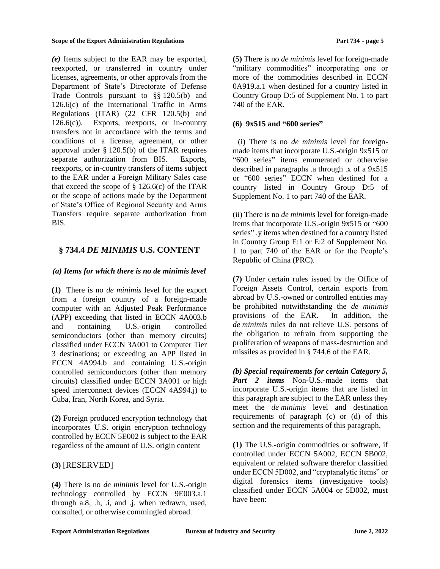*(e)* Items subject to the EAR may be exported, reexported, or transferred in country under licenses, agreements, or other approvals from the Department of State's Directorate of Defense Trade Controls pursuant to §§ 120.5(b) and 126.6(c) of the International Traffic in Arms Regulations (ITAR) (22 CFR 120.5(b) and  $126.6(c)$ ). Exports, reexports, or in-country transfers not in accordance with the terms and conditions of a license, agreement, or other approval under § 120.5(b) of the ITAR requires separate authorization from BIS. Exports, reexports, or in-country transfers of items subject to the EAR under a Foreign Military Sales case that exceed the scope of  $\S$  126.6(c) of the ITAR or the scope of actions made by the Department of State's Office of Regional Security and Arms Transfers require separate authorization from BIS.

## <span id="page-4-0"></span>**§ 734.4** *DE MINIMIS* **U.S. CONTENT**

## *(a) Items for which there is no de minimis level*

**(1)** There is no *de minimis* level for the export from a foreign country of a foreign-made computer with an Adjusted Peak Performance (APP) exceeding that listed in ECCN 4A003.b and containing U.S.-origin controlled semiconductors (other than memory circuits) classified under ECCN 3A001 to Computer Tier 3 destinations; or exceeding an APP listed in ECCN 4A994.b and containing U.S.-origin controlled semiconductors (other than memory circuits) classified under ECCN 3A001 or high speed interconnect devices (ECCN 4A994.j) to Cuba, Iran, North Korea, and Syria.

**(2)** Foreign produced encryption technology that incorporates U.S. origin encryption technology controlled by ECCN 5E002 is subject to the EAR regardless of the amount of U.S. origin content

## **(3)** [RESERVED]

**(4)** There is no *de minimis* level for U.S.-origin technology controlled by ECCN 9E003.a.1 through a.8, .h, .i, and .j. when redrawn, used, consulted, or otherwise commingled abroad.

**(5)** There is no *de minimis* level for foreign-made "military commodities" incorporating one or more of the commodities described in ECCN 0A919.a.1 when destined for a country listed in Country Group D:5 of Supplement No. 1 to part 740 of the EAR.

### **(6) 9x515 and "600 series"**

(i) There is no *de minimis* level for foreignmade items that incorporate U.S.-origin 9x515 or "600 series" items enumerated or otherwise described in paragraphs .a through .x of a 9x515 or "600 series" ECCN when destined for a country listed in Country Group D:5 of Supplement No. 1 to part 740 of the EAR.

(ii) There is no *de minimis* level for foreign-made items that incorporate U.S.-origin 9x515 or "600 series" .y items when destined for a country listed in Country Group E:1 or E:2 of Supplement No. 1 to part 740 of the EAR or for the People's Republic of China (PRC).

**(7)** Under certain rules issued by the Office of Foreign Assets Control, certain exports from abroad by U.S.-owned or controlled entities may be prohibited notwithstanding the *de minimis*  provisions of the EAR. In addition, the *de minimis* rules do not relieve U.S. persons of the obligation to refrain from supporting the proliferation of weapons of mass-destruction and missiles as provided in § 744.6 of the EAR.

*(b) Special requirements for certain Category 5, Part 2 items* Non-U.S.-made items that incorporate U.S.-origin items that are listed in this paragraph are subject to the EAR unless they meet the *de minimis* level and destination requirements of paragraph (c) or (d) of this section and the requirements of this paragraph.

**(1)** The U.S.-origin commodities or software, if controlled under ECCN 5A002, ECCN 5B002, equivalent or related software therefor classified under ECCN 5D002, and "cryptanalytic items" or digital forensics items (investigative tools) classified under ECCN 5A004 or 5D002, must have been: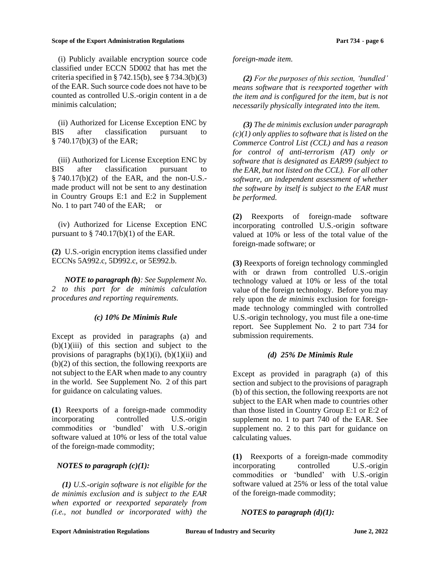(i) Publicly available encryption source code classified under ECCN 5D002 that has met the criteria specified in  $\S$  742.15(b), see  $\S$  734.3(b)(3) of the EAR. Such source code does not have to be counted as controlled U.S.-origin content in a de minimis calculation;

(ii) Authorized for License Exception ENC by BIS after classification pursuant to § 740.17(b)(3) of the EAR;

(iii) Authorized for License Exception ENC by BIS after classification pursuant to § 740.17(b)(2) of the EAR, and the non-U.S. made product will not be sent to any destination in Country Groups E:1 and E:2 in Supplement No. 1 to part 740 of the EAR; or

(iv) Authorized for License Exception ENC pursuant to  $\S$  740.17(b)(1) of the EAR.

**(2)** U.S.-origin encryption items classified under ECCNs 5A992.c, 5D992.c, or 5E992.b.

*NOTE to paragraph (b): See Supplement No. 2 to this part for de minimis calculation procedures and reporting requirements.*

### *(c) 10% De Minimis Rule*

Except as provided in paragraphs (a) and  $(b)(1)(iii)$  of this section and subject to the provisions of paragraphs  $(b)(1)(i)$ ,  $(b)(1)(ii)$  and (b)(2) of this section, the following reexports are not subject to the EAR when made to any country in the world. See Supplement No. 2 of this part for guidance on calculating values.

**(1**) Reexports of a foreign-made commodity incorporating controlled U.S.-origin commodities or 'bundled' with U.S.-origin software valued at 10% or less of the total value of the foreign-made commodity;

### *NOTES to paragraph (c)(1):*

*(1) U.S.-origin software is not eligible for the de minimis exclusion and is subject to the EAR when exported or reexported separately from (i.e., not bundled or incorporated with) the* 

#### *foreign-made item.*

*(2) For the purposes of this section, 'bundled' means software that is reexported together with the item and is configured for the item, but is not necessarily physically integrated into the item.* 

*(3) The de minimis exclusion under paragraph (c)(1) only applies to software that is listed on the Commerce Control List (CCL) and has a reason for control of anti-terrorism (AT) only or software that is designated as EAR99 (subject to the EAR, but not listed on the CCL). For all other software, an independent assessment of whether the software by itself is subject to the EAR must be performed.* 

**(2)** Reexports of foreign-made software incorporating controlled U.S.-origin software valued at 10% or less of the total value of the foreign-made software; or

**(3)** Reexports of foreign technology commingled with or drawn from controlled U.S.-origin technology valued at 10% or less of the total value of the foreign technology. Before you may rely upon the *de minimis* exclusion for foreignmade technology commingled with controlled U.S.-origin technology, you must file a one-time report. See Supplement No. 2 to part 734 for submission requirements.

#### *(d) 25% De Minimis Rule*

Except as provided in paragraph (a) of this section and subject to the provisions of paragraph (b) of this section, the following reexports are not subject to the EAR when made to countries other than those listed in Country Group E:1 or E:2 of supplement no. 1 to part 740 of the EAR. See supplement no. 2 to this part for guidance on calculating values.

**(1)** Reexports of a foreign-made commodity incorporating controlled U.S.-origin commodities or 'bundled' with U.S.-origin software valued at 25% or less of the total value of the foreign-made commodity;

*NOTES to paragraph (d)(1):*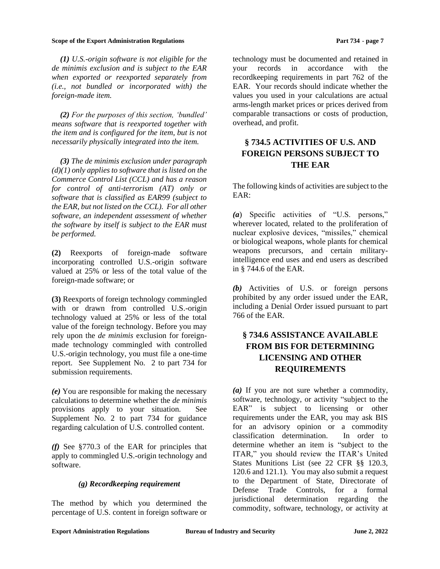*(1) U.S.-origin software is not eligible for the de minimis exclusion and is subject to the EAR when exported or reexported separately from (i.e., not bundled or incorporated with) the foreign-made item.* 

*(2) For the purposes of this section, 'bundled' means software that is reexported together with the item and is configured for the item, but is not necessarily physically integrated into the item.* 

*(3) The de minimis exclusion under paragraph (d)(1) only applies to software that is listed on the Commerce Control List (CCL) and has a reason for control of anti-terrorism (AT) only or software that is classified as EAR99 (subject to the EAR, but not listed on the CCL). For all other software, an independent assessment of whether the software by itself is subject to the EAR must be performed.* 

**(2)** Reexports of foreign-made software incorporating controlled U.S.-origin software valued at 25% or less of the total value of the foreign-made software; or

**(3)** Reexports of foreign technology commingled with or drawn from controlled U.S.-origin technology valued at 25% or less of the total value of the foreign technology. Before you may rely upon the *de minimis* exclusion for foreignmade technology commingled with controlled U.S.-origin technology, you must file a one-time report. See Supplement No. 2 to part 734 for submission requirements.

*(e)* You are responsible for making the necessary calculations to determine whether the *de minimis*  provisions apply to your situation. See Supplement No. 2 to part 734 for guidance regarding calculation of U.S. controlled content.

*(f)* See §770.3 of the EAR for principles that apply to commingled U.S.-origin technology and software.

### *(g) Recordkeeping requirement*

The method by which you determined the percentage of U.S. content in foreign software or technology must be documented and retained in your records in accordance with the recordkeeping requirements in part 762 of the EAR. Your records should indicate whether the values you used in your calculations are actual arms-length market prices or prices derived from comparable transactions or costs of production, overhead, and profit.

# <span id="page-6-0"></span>**§ 734.5 ACTIVITIES OF U.S. AND FOREIGN PERSONS SUBJECT TO THE EAR**

The following kinds of activities are subject to the EAR:

*(a*) Specific activities of "U.S. persons," wherever located, related to the proliferation of nuclear explosive devices, "missiles," chemical or biological weapons, whole plants for chemical weapons precursors, and certain militaryintelligence end uses and end users as described in § 744.6 of the EAR.

*(b)* Activities of U.S. or foreign persons prohibited by any order issued under the EAR, including a Denial Order issued pursuant to part 766 of the EAR.

# <span id="page-6-1"></span>**§ 734.6 ASSISTANCE AVAILABLE FROM BIS FOR DETERMINING LICENSING AND OTHER REQUIREMENTS**

*(a)* If you are not sure whether a commodity, software, technology, or activity "subject to the EAR" is subject to licensing or other requirements under the EAR, you may ask BIS for an advisory opinion or a commodity classification determination. In order to determine whether an item is "subject to the ITAR," you should review the ITAR's United States Munitions List (see 22 CFR §§ 120.3, 120.6 and 121.1). You may also submit a request to the Department of State, Directorate of Defense Trade Controls, for a formal jurisdictional determination regarding the commodity, software, technology, or activity at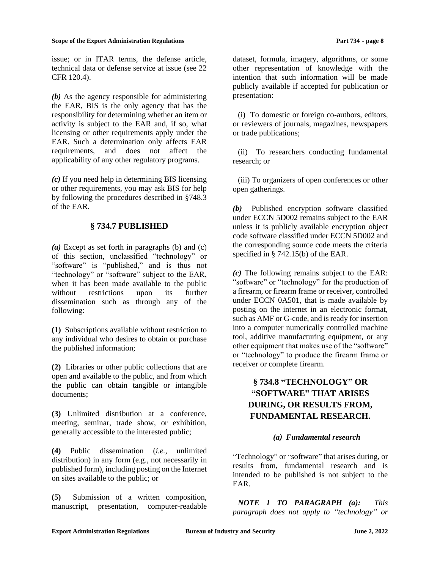issue; or in ITAR terms, the defense article, technical data or defense service at issue (see 22 CFR 120.4).

*(b)* As the agency responsible for administering the EAR, BIS is the only agency that has the responsibility for determining whether an item or activity is subject to the EAR and, if so, what licensing or other requirements apply under the EAR. Such a determination only affects EAR requirements, and does not affect the applicability of any other regulatory programs.

*(c)* If you need help in determining BIS licensing or other requirements, you may ask BIS for help by following the procedures described in §748.3 of the EAR.

## **§ 734.7 PUBLISHED**

<span id="page-7-0"></span>*(a)* Except as set forth in paragraphs (b) and (c) of this section, unclassified "technology" or "software" is "published," and is thus not "technology" or "software" subject to the EAR, when it has been made available to the public without restrictions upon its further dissemination such as through any of the following:

**(1)** Subscriptions available without restriction to any individual who desires to obtain or purchase the published information;

**(2)** Libraries or other public collections that are open and available to the public, and from which the public can obtain tangible or intangible documents;

**(3)** Unlimited distribution at a conference, meeting, seminar, trade show, or exhibition, generally accessible to the interested public;

**(4)** Public dissemination (*i.e.,* unlimited distribution) in any form (e.g., not necessarily in published form), including posting on the Internet on sites available to the public; or

**(5)** Submission of a written composition, manuscript, presentation, computer-readable dataset, formula, imagery, algorithms, or some other representation of knowledge with the intention that such information will be made publicly available if accepted for publication or presentation:

(i) To domestic or foreign co-authors, editors, or reviewers of journals, magazines, newspapers or trade publications;

(ii) To researchers conducting fundamental research; or

(iii) To organizers of open conferences or other open gatherings.

*(b)* Published encryption software classified under ECCN 5D002 remains subject to the EAR unless it is publicly available encryption object code software classified under ECCN 5D002 and the corresponding source code meets the criteria specified in § 742.15(b) of the EAR.

*(c)* The following remains subject to the EAR: "software" or "technology" for the production of a firearm, or firearm frame or receiver, controlled under ECCN 0A501, that is made available by posting on the internet in an electronic format, such as AMF or G-code, and is ready for insertion into a computer numerically controlled machine tool, additive manufacturing equipment, or any other equipment that makes use of the "software" or "technology" to produce the firearm frame or receiver or complete firearm.

# <span id="page-7-1"></span>**§ 734.8 "TECHNOLOGY" OR "SOFTWARE" THAT ARISES DURING, OR RESULTS FROM, FUNDAMENTAL RESEARCH.**

### *(a) Fundamental research*

"Technology" or "software" that arises during, or results from, fundamental research and is intended to be published is not subject to the EAR.

*NOTE 1 TO PARAGRAPH (a): This paragraph does not apply to "technology" or*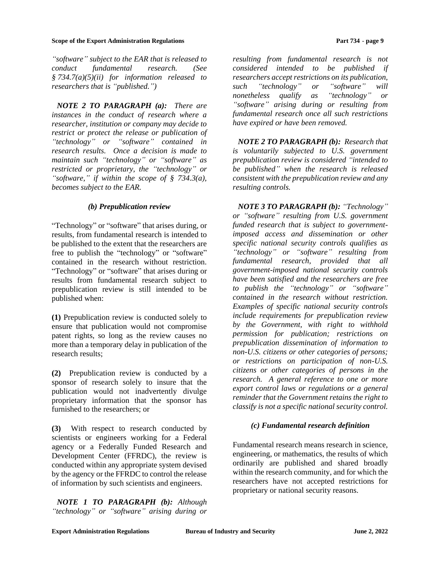*"software" subject to the EAR that is released to conduct fundamental research. (See § 734.7(a)(5)(ii) for information released to researchers that is "published.")*

*NOTE 2 TO PARAGRAPH (a): There are instances in the conduct of research where a researcher, institution or company may decide to restrict or protect the release or publication of "technology" or "software" contained in research results. Once a decision is made to maintain such "technology" or "software" as restricted or proprietary, the "technology" or "software," if within the scope of § 734.3(a), becomes subject to the EAR.*

### *(b) Prepublication review*

"Technology" or "software" that arises during, or results, from fundamental research is intended to be published to the extent that the researchers are free to publish the "technology" or "software" contained in the research without restriction. "Technology" or "software" that arises during or results from fundamental research subject to prepublication review is still intended to be published when:

**(1)** Prepublication review is conducted solely to ensure that publication would not compromise patent rights, so long as the review causes no more than a temporary delay in publication of the research results;

**(2)** Prepublication review is conducted by a sponsor of research solely to insure that the publication would not inadvertently divulge proprietary information that the sponsor has furnished to the researchers; or

**(3)** With respect to research conducted by scientists or engineers working for a Federal agency or a Federally Funded Research and Development Center (FFRDC), the review is conducted within any appropriate system devised by the agency or the FFRDC to control the release of information by such scientists and engineers.

*NOTE 1 TO PARAGRAPH (b): Although "technology" or "software" arising during or* 

*resulting from fundamental research is not considered intended to be published if researchers accept restrictions on its publication, such "technology" or "software" will nonetheless qualify as "technology" or "software" arising during or resulting from fundamental research once all such restrictions have expired or have been removed.* 

*NOTE 2 TO PARAGRAPH (b): Research that is voluntarily subjected to U.S. government prepublication review is considered "intended to be published" when the research is released consistent with the prepublication review and any resulting controls.* 

*NOTE 3 TO PARAGRAPH (b): "Technology" or "software" resulting from U.S. government funded research that is subject to governmentimposed access and dissemination or other specific national security controls qualifies as "technology" or "software" resulting from fundamental research, provided that all government-imposed national security controls have been satisfied and the researchers are free to publish the "technology" or "software" contained in the research without restriction. Examples of specific national security controls include requirements for prepublication review by the Government, with right to withhold permission for publication; restrictions on prepublication dissemination of information to non-U.S. citizens or other categories of persons; or restrictions on participation of non-U.S. citizens or other categories of persons in the research. A general reference to one or more export control laws or regulations or a general reminder that the Government retains the right to classify is not a specific national security control.*

### *(c) Fundamental research definition*

Fundamental research means research in science, engineering, or mathematics, the results of which ordinarily are published and shared broadly within the research community, and for which the researchers have not accepted restrictions for proprietary or national security reasons.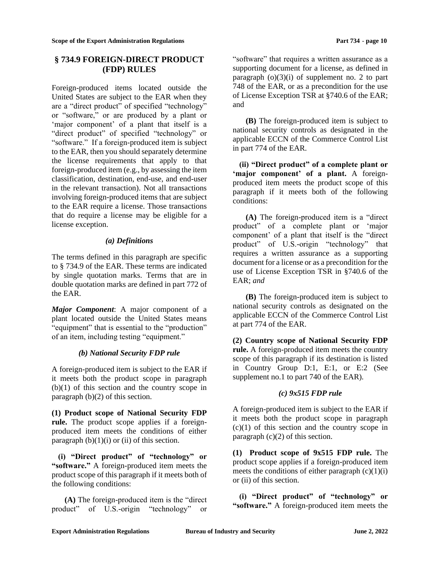## <span id="page-9-0"></span>**§ 734.9 FOREIGN-DIRECT PRODUCT (FDP) RULES**

Foreign-produced items located outside the United States are subject to the EAR when they are a "direct product" of specified "technology" or "software," or are produced by a plant or 'major component' of a plant that itself is a "direct product" of specified "technology" or "software." If a foreign-produced item is subject to the EAR, then you should separately determine the license requirements that apply to that foreign-produced item (e.g., by assessing the item classification, destination, end-use, and end-user in the relevant transaction). Not all transactions involving foreign-produced items that are subject to the EAR require a license. Those transactions that do require a license may be eligible for a license exception.

### *(a) Definitions*

The terms defined in this paragraph are specific to § 734.9 of the EAR. These terms are indicated by single quotation marks. Terms that are in double quotation marks are defined in part 772 of the EAR.

*Major Component*: A major component of a plant located outside the United States means "equipment" that is essential to the "production" of an item, including testing "equipment."

## *(b) National Security FDP rule*

A foreign-produced item is subject to the EAR if it meets both the product scope in paragraph (b)(1) of this section and the country scope in paragraph (b)(2) of this section.

**(1) Product scope of National Security FDP rule.** The product scope applies if a foreignproduced item meets the conditions of either paragraph  $(b)(1)(i)$  or  $(ii)$  of this section.

**(i) "Direct product" of "technology" or "software."** A foreign-produced item meets the product scope of this paragraph if it meets both of the following conditions:

**(A)** The foreign-produced item is the "direct product" of U.S.-origin "technology" or

"software" that requires a written assurance as a supporting document for a license, as defined in paragraph  $(o)(3)(i)$  of supplement no. 2 to part 748 of the EAR, or as a precondition for the use of License Exception TSR at §740.6 of the EAR; and

**(B)** The foreign-produced item is subject to national security controls as designated in the applicable ECCN of the Commerce Control List in part 774 of the EAR.

**(ii) "Direct product" of a complete plant or 'major component' of a plant.** A foreignproduced item meets the product scope of this paragraph if it meets both of the following conditions:

**(A)** The foreign-produced item is a "direct product" of a complete plant or 'major component' of a plant that itself is the "direct product" of U.S.-origin "technology" that requires a written assurance as a supporting document for a license or as a precondition for the use of License Exception TSR in §740.6 of the EAR; *and*

**(B)** The foreign-produced item is subject to national security controls as designated on the applicable ECCN of the Commerce Control List at part 774 of the EAR.

**(2) Country scope of National Security FDP rule.** A foreign-produced item meets the country scope of this paragraph if its destination is listed in Country Group D:1, E:1, or E:2 (See supplement no.1 to part 740 of the EAR).

## *(c) 9x515 FDP rule*

A foreign-produced item is subject to the EAR if it meets both the product scope in paragraph  $(c)(1)$  of this section and the country scope in paragraph  $(c)(2)$  of this section.

**(1) Product scope of 9x515 FDP rule.** The product scope applies if a foreign-produced item meets the conditions of either paragraph  $(c)(1)(i)$ or (ii) of this section.

**(i) "Direct product" of "technology" or "software."** A foreign-produced item meets the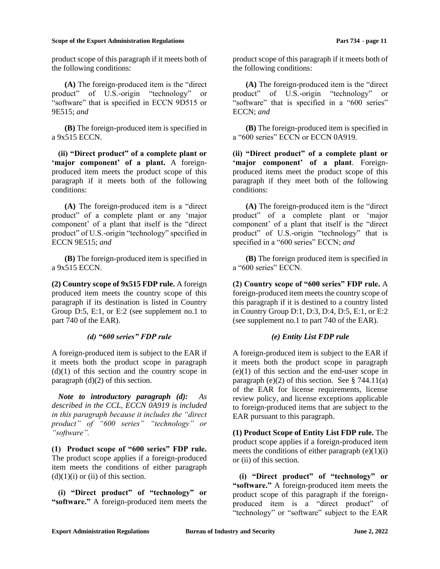product scope of this paragraph if it meets both of the following conditions:

**(A)** The foreign-produced item is the "direct product" of U.S.-origin "technology" or "software" that is specified in ECCN 9D515 or 9E515; *and*

**(B)** The foreign-produced item is specified in a 9x515 ECCN.

**(ii) "Direct product" of a complete plant or 'major component' of a plant.** A foreignproduced item meets the product scope of this paragraph if it meets both of the following conditions:

**(A)** The foreign-produced item is a "direct product" of a complete plant or any 'major component' of a plant that itself is the "direct product" of U.S.-origin "technology" specified in ECCN 9E515; *and*

**(B)** The foreign-produced item is specified in a 9x515 ECCN.

**(2) Country scope of 9x515 FDP rule.** A foreign produced item meets the country scope of this paragraph if its destination is listed in Country Group D:5, E:1, or E:2 (see supplement no.1 to part 740 of the EAR).

#### *(d) "600 series" FDP rule*

A foreign-produced item is subject to the EAR if it meets both the product scope in paragraph  $(d)(1)$  of this section and the country scope in paragraph  $(d)(2)$  of this section.

*Note to introductory paragraph (d): As described in the CCL, ECCN 0A919 is included in this paragraph because it includes the "direct product" of "600 series" "technology" or "software".*

**(1) Product scope of "600 series" FDP rule.** The product scope applies if a foreign-produced item meets the conditions of either paragraph  $(d)(1)(i)$  or  $(ii)$  of this section.

**(i) "Direct product" of "technology" or "software."** A foreign-produced item meets the product scope of this paragraph if it meets both of the following conditions:

**(A)** The foreign-produced item is the "direct product" of U.S.-origin "technology" or "software" that is specified in a "600 series" ECCN; *and*

**(B)** The foreign-produced item is specified in a "600 series" ECCN or ECCN 0A919.

**(ii) "Direct product" of a complete plant or 'major component' of a plant**. Foreignproduced items meet the product scope of this paragraph if they meet both of the following conditions:

**(A)** The foreign-produced item is the "direct product" of a complete plant or 'major component' of a plant that itself is the "direct product" of U.S.-origin "technology" that is specified in a "600 series" ECCN; *and*

**(B)** The foreign produced item is specified in a "600 series" ECCN.

**(2) Country scope of "600 series" FDP rule.** A foreign-produced item meets the country scope of this paragraph if it is destined to a country listed in Country Group D:1, D:3, D:4, D:5, E:1, or E:2 (see supplement no.1 to part 740 of the EAR).

### *(e) Entity List FDP rule*

A foreign-produced item is subject to the EAR if it meets both the product scope in paragraph (e)(1) of this section and the end-user scope in paragraph (e)(2) of this section. See  $\S$  744.11(a) of the EAR for license requirements, license review policy, and license exceptions applicable to foreign-produced items that are subject to the EAR pursuant to this paragraph.

**(1) Product Scope of Entity List FDP rule.** The product scope applies if a foreign-produced item meets the conditions of either paragraph  $(e)(1)(i)$ or (ii) of this section.

**(i) "Direct product" of "technology" or "software."** A foreign-produced item meets the product scope of this paragraph if the foreignproduced item is a "direct product" of "technology" or "software" subject to the EAR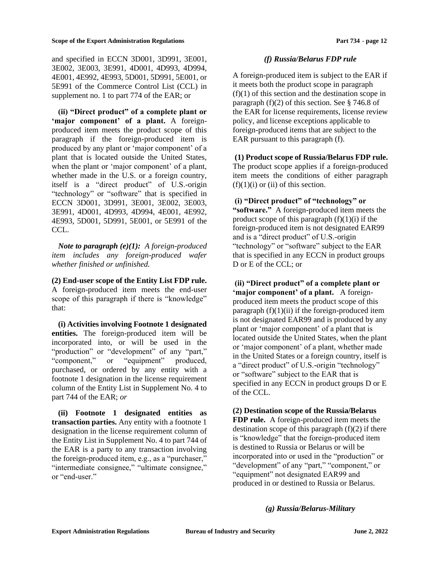and specified in ECCN 3D001, 3D991, 3E001, 3E002, 3E003, 3E991, 4D001, 4D993, 4D994, 4E001, 4E992, 4E993, 5D001, 5D991, 5E001, or 5E991 of the Commerce Control List (CCL) in supplement no. 1 to part 774 of the EAR; or

**(ii) "Direct product" of a complete plant or 'major component' of a plant.** A foreignproduced item meets the product scope of this paragraph if the foreign-produced item is produced by any plant or 'major component' of a plant that is located outside the United States, when the plant or 'major component' of a plant, whether made in the U.S. or a foreign country, itself is a "direct product" of U.S.-origin "technology" or "software" that is specified in ECCN 3D001, 3D991, 3E001, 3E002, 3E003, 3E991, 4D001, 4D993, 4D994, 4E001, 4E992, 4E993, 5D001, 5D991, 5E001, or 5E991 of the CCL.

*Note to paragraph (e)(1): A foreign-produced item includes any foreign-produced wafer whether finished or unfinished.*

**(2) End-user scope of the Entity List FDP rule.** A foreign-produced item meets the end-user scope of this paragraph if there is "knowledge" that:

**(i) Activities involving Footnote 1 designated entities.** The foreign-produced item will be incorporated into, or will be used in the "production" or "development" of any "part," "component," or "equipment" produced, purchased, or ordered by any entity with a footnote 1 designation in the license requirement column of the Entity List in Supplement No. 4 to part 744 of the EAR; *or*

**(ii) Footnote 1 designated entities as transaction parties.** Any entity with a footnote 1 designation in the license requirement column of the Entity List in Supplement No. 4 to part 744 of the EAR is a party to any transaction involving the foreign-produced item, e.g., as a "purchaser," "intermediate consignee," "ultimate consignee," or "end-user."

### *(f) Russia/Belarus FDP rule*

A foreign-produced item is subject to the EAR if it meets both the product scope in paragraph  $(f)(1)$  of this section and the destination scope in paragraph (f)(2) of this section. See § 746.8 of the EAR for license requirements, license review policy, and license exceptions applicable to foreign-produced items that are subject to the EAR pursuant to this paragraph (f).

**(1) Product scope of Russia/Belarus FDP rule.** The product scope applies if a foreign-produced item meets the conditions of either paragraph  $(f)(1)(i)$  or  $(ii)$  of this section.

**(i) "Direct product" of "technology" or "software."** A foreign-produced item meets the product scope of this paragraph  $(f)(1)(i)$  if the foreign-produced item is not designated EAR99 and is a "direct product" of U.S.-origin "technology" or "software" subject to the EAR that is specified in any ECCN in product groups D or E of the CCL; or

**(ii) "Direct product" of a complete plant or 'major component' of a plant.** A foreignproduced item meets the product scope of this paragraph  $(f)(1)(ii)$  if the foreign-produced item is not designated EAR99 and is produced by any plant or 'major component' of a plant that is located outside the United States, when the plant or 'major component' of a plant, whether made in the United States or a foreign country, itself is a "direct product" of U.S.-origin "technology" or "software" subject to the EAR that is specified in any ECCN in product groups D or E of the CCL.

**(2) Destination scope of the Russia/Belarus FDP rule.** A foreign-produced item meets the destination scope of this paragraph  $(f)(2)$  if there is "knowledge" that the foreign-produced item is destined to Russia or Belarus or will be incorporated into or used in the "production" or "development" of any "part," "component," or "equipment" not designated EAR99 and produced in or destined to Russia or Belarus.

### *(g) Russia/Belarus-Military*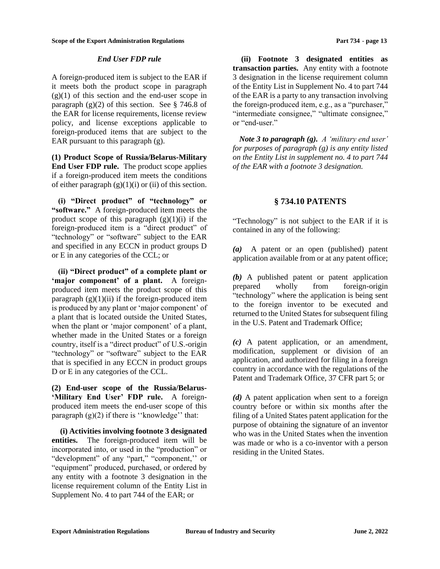### *End User FDP rule*

A foreign-produced item is subject to the EAR if it meets both the product scope in paragraph  $(g)(1)$  of this section and the end-user scope in paragraph  $(g)(2)$  of this section. See § 746.8 of the EAR for license requirements, license review policy, and license exceptions applicable to foreign-produced items that are subject to the EAR pursuant to this paragraph (g).

**(1) Product Scope of Russia/Belarus-Military End User FDP rule.** The product scope applies if a foreign-produced item meets the conditions of either paragraph  $(g)(1)(i)$  or (ii) of this section.

**(i) "Direct product" of "technology" or "software."** A foreign-produced item meets the product scope of this paragraph  $(g)(1)(i)$  if the foreign-produced item is a "direct product" of "technology" or "software" subject to the EAR and specified in any ECCN in product groups D or E in any categories of the CCL; or

**(ii) "Direct product" of a complete plant or 'major component' of a plant.** A foreignproduced item meets the product scope of this paragraph  $(g)(1)(ii)$  if the foreign-produced item is produced by any plant or 'major component' of a plant that is located outside the United States, when the plant or 'major component' of a plant, whether made in the United States or a foreign country, itself is a "direct product" of U.S.-origin "technology" or "software" subject to the EAR that is specified in any ECCN in product groups D or E in any categories of the CCL.

**(2) End-user scope of the Russia/Belarus- 'Military End User' FDP rule.** A foreignproduced item meets the end-user scope of this paragraph  $(g)(2)$  if there is "knowledge" that:

**(i) Activities involving footnote 3 designated entities.** The foreign-produced item will be incorporated into, or used in the "production" or "development" of any "part," "component,'' or "equipment" produced, purchased, or ordered by any entity with a footnote 3 designation in the license requirement column of the Entity List in Supplement No. 4 to part 744 of the EAR; or

**(ii) Footnote 3 designated entities as transaction parties.** Any entity with a footnote 3 designation in the license requirement column of the Entity List in Supplement No. 4 to part 744 of the EAR is a party to any transaction involving the foreign-produced item, e.g., as a "purchaser," "intermediate consignee," "ultimate consignee," or "end-user."

*Note 3 to paragraph (g). A 'military end user' for purposes of paragraph (g) is any entity listed on the Entity List in supplement no. 4 to part 744 of the EAR with a footnote 3 designation.*

## **§ 734.10 PATENTS**

<span id="page-12-0"></span>"Technology" is not subject to the EAR if it is contained in any of the following:

*(a)* A patent or an open (published) patent application available from or at any patent office;

*(b)* A published patent or patent application prepared wholly from foreign-origin "technology" where the application is being sent to the foreign inventor to be executed and returned to the United States for subsequent filing in the U.S. Patent and Trademark Office;

*(c)* A patent application, or an amendment, modification, supplement or division of an application, and authorized for filing in a foreign country in accordance with the regulations of the Patent and Trademark Office, 37 CFR part 5; or

*(d)* A patent application when sent to a foreign country before or within six months after the filing of a United States patent application for the purpose of obtaining the signature of an inventor who was in the United States when the invention was made or who is a co-inventor with a person residing in the United States.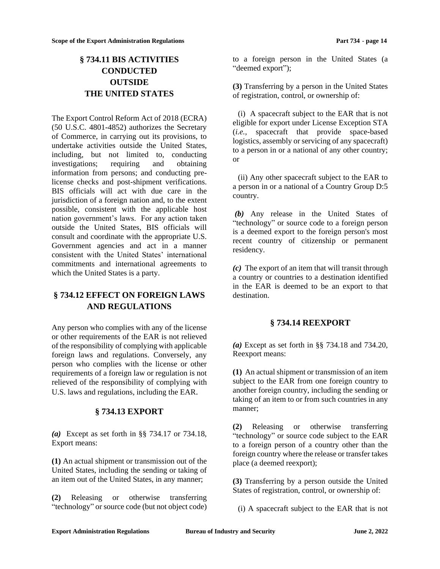# <span id="page-13-0"></span>**§ 734.11 BIS ACTIVITIES CONDUCTED OUTSIDE THE UNITED STATES**

The Export Control Reform Act of 2018 (ECRA) (50 U.S.C. 4801-4852) authorizes the Secretary of Commerce, in carrying out its provisions, to undertake activities outside the United States, including, but not limited to, conducting investigations; requiring and obtaining information from persons; and conducting prelicense checks and post-shipment verifications. BIS officials will act with due care in the jurisdiction of a foreign nation and, to the extent possible, consistent with the applicable host nation government's laws. For any action taken outside the United States, BIS officials will consult and coordinate with the appropriate U.S. Government agencies and act in a manner consistent with the United States' international commitments and international agreements to which the United States is a party.

# <span id="page-13-1"></span>**§ 734.12 EFFECT ON FOREIGN LAWS AND REGULATIONS**

Any person who complies with any of the license or other requirements of the EAR is not relieved of the responsibility of complying with applicable foreign laws and regulations. Conversely, any person who complies with the license or other requirements of a foreign law or regulation is not relieved of the responsibility of complying with U.S. laws and regulations, including the EAR.

## **§ 734.13 EXPORT**

<span id="page-13-2"></span>*(a)* Except as set forth in §§ 734.17 or 734.18, Export means:

**(1)** An actual shipment or transmission out of the United States, including the sending or taking of an item out of the United States, in any manner;

**(2)** Releasing or otherwise transferring "technology" or source code (but not object code) to a foreign person in the United States (a "deemed export");

**(3)** Transferring by a person in the United States of registration, control, or ownership of:

(i) A spacecraft subject to the EAR that is not eligible for export under License Exception STA (*i.e.,* spacecraft that provide space-based logistics, assembly or servicing of any spacecraft) to a person in or a national of any other country; or

(ii) Any other spacecraft subject to the EAR to a person in or a national of a Country Group D:5 country.

*(b)* Any release in the United States of "technology" or source code to a foreign person is a deemed export to the foreign person's most recent country of citizenship or permanent residency.

*(c)* The export of an item that will transit through a country or countries to a destination identified in the EAR is deemed to be an export to that destination.

## **§ 734.14 REEXPORT**

<span id="page-13-3"></span>*(a)* Except as set forth in §§ 734.18 and 734.20, Reexport means:

**(1)** An actual shipment or transmission of an item subject to the EAR from one foreign country to another foreign country, including the sending or taking of an item to or from such countries in any manner;

**(2)** Releasing or otherwise transferring "technology" or source code subject to the EAR to a foreign person of a country other than the foreign country where the release or transfer takes place (a deemed reexport);

**(3)** Transferring by a person outside the United States of registration, control, or ownership of:

(i) A spacecraft subject to the EAR that is not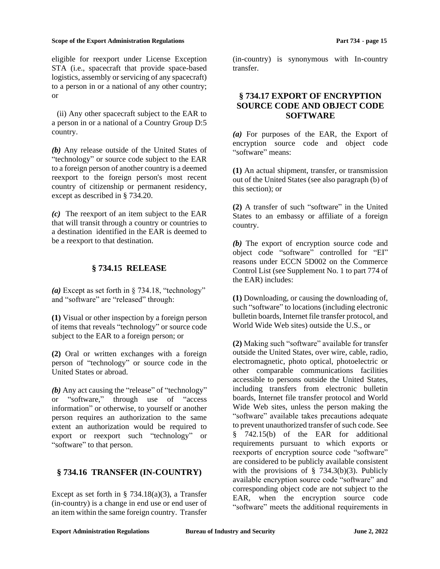eligible for reexport under License Exception STA (i.e., spacecraft that provide space-based logistics, assembly or servicing of any spacecraft) to a person in or a national of any other country; or

(ii) Any other spacecraft subject to the EAR to a person in or a national of a Country Group D:5 country.

*(b)* Any release outside of the United States of "technology" or source code subject to the EAR to a foreign person of another country is a deemed reexport to the foreign person's most recent country of citizenship or permanent residency, except as described in § 734.20.

*(c)* The reexport of an item subject to the EAR that will transit through a country or countries to a destination identified in the EAR is deemed to be a reexport to that destination.

## **§ 734.15 RELEASE**

<span id="page-14-0"></span>*(a)* Except as set forth in § 734.18, "technology" and "software" are "released" through:

**(1)** Visual or other inspection by a foreign person of items that reveals "technology" or source code subject to the EAR to a foreign person; or

**(2)** Oral or written exchanges with a foreign person of "technology" or source code in the United States or abroad.

*(b)* Any act causing the "release" of "technology" or "software," through use of "access information" or otherwise, to yourself or another person requires an authorization to the same extent an authorization would be required to export or reexport such "technology" or "software" to that person.

## <span id="page-14-1"></span>**§ 734.16 TRANSFER (IN-COUNTRY)**

Except as set forth in  $\S$  734.18(a)(3), a Transfer (in-country) is a change in end use or end user of an item within the same foreign country. Transfer (in-country) is synonymous with In-country transfer.

## <span id="page-14-2"></span>**§ 734.17 EXPORT OF ENCRYPTION SOURCE CODE AND OBJECT CODE SOFTWARE**

*(a)* For purposes of the EAR, the Export of encryption source code and object code "software" means:

**(1)** An actual shipment, transfer, or transmission out of the United States (see also paragraph (b) of this section); or

**(2)** A transfer of such "software" in the United States to an embassy or affiliate of a foreign country.

*(b)* The export of encryption source code and object code "software" controlled for "EI" reasons under ECCN 5D002 on the Commerce Control List (see Supplement No. 1 to part 774 of the EAR) includes:

**(1)** Downloading, or causing the downloading of, such "software" to locations (including electronic bulletin boards, Internet file transfer protocol, and World Wide Web sites) outside the U.S., or

**(2)** Making such "software" available for transfer outside the United States, over wire, cable, radio, electromagnetic, photo optical, photoelectric or other comparable communications facilities accessible to persons outside the United States, including transfers from electronic bulletin boards, Internet file transfer protocol and World Wide Web sites, unless the person making the "software" available takes precautions adequate to prevent unauthorized transfer of such code. See § 742.15(b) of the EAR for additional requirements pursuant to which exports or reexports of encryption source code "software" are considered to be publicly available consistent with the provisions of  $\S$  734.3(b)(3). Publicly available encryption source code "software" and corresponding object code are not subject to the EAR, when the encryption source code "software" meets the additional requirements in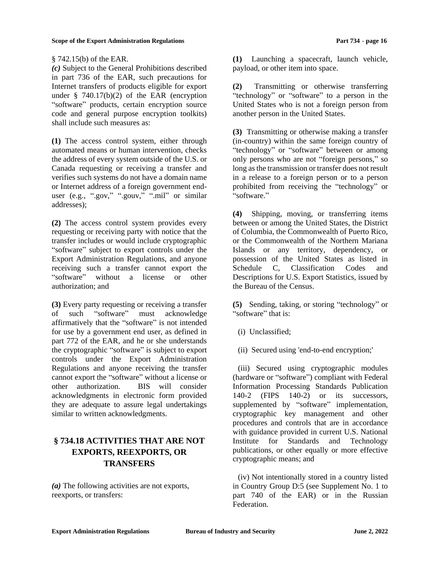### § 742.15(b) of the EAR.

*(c)* Subject to the General Prohibitions described in part 736 of the EAR, such precautions for Internet transfers of products eligible for export under  $§ 740.17(b)(2)$  of the EAR (encryption "software" products, certain encryption source code and general purpose encryption toolkits) shall include such measures as:

**(1)** The access control system, either through automated means or human intervention, checks the address of every system outside of the U.S. or Canada requesting or receiving a transfer and verifies such systems do not have a domain name or Internet address of a foreign government enduser (e.g., ".gov," ".gouv," ".mil" or similar addresses);

**(2)** The access control system provides every requesting or receiving party with notice that the transfer includes or would include cryptographic "software" subject to export controls under the Export Administration Regulations, and anyone receiving such a transfer cannot export the "software" without a license or other authorization; and

**(3)** Every party requesting or receiving a transfer of such "software" must acknowledge affirmatively that the "software" is not intended for use by a government end user, as defined in part 772 of the EAR, and he or she understands the cryptographic "software" is subject to export controls under the Export Administration Regulations and anyone receiving the transfer cannot export the "software" without a license or other authorization. BIS will consider acknowledgments in electronic form provided they are adequate to assure legal undertakings similar to written acknowledgments.

# <span id="page-15-0"></span>**§ 734.18 ACTIVITIES THAT ARE NOT EXPORTS, REEXPORTS, OR TRANSFERS**

*(a)* The following activities are not exports, reexports, or transfers:

**(1)** Launching a spacecraft, launch vehicle, payload, or other item into space.

**(2)** Transmitting or otherwise transferring "technology" or "software" to a person in the United States who is not a foreign person from another person in the United States.

**(3)** Transmitting or otherwise making a transfer (in-country) within the same foreign country of "technology" or "software" between or among only persons who are not "foreign persons," so long as the transmission or transfer does not result in a release to a foreign person or to a person prohibited from receiving the "technology" or "software."

**(4)** Shipping, moving, or transferring items between or among the United States, the District of Columbia, the Commonwealth of Puerto Rico, or the Commonwealth of the Northern Mariana Islands or any territory, dependency, or possession of the United States as listed in Schedule C, Classification Codes and Descriptions for U.S. Export Statistics, issued by the Bureau of the Census.

**(5)** Sending, taking, or storing "technology" or "software" that is:

- (i) Unclassified;
- (ii) Secured using 'end-to-end encryption;'

(iii) Secured using cryptographic modules (hardware or "software") compliant with Federal Information Processing Standards Publication 140-2 (FIPS 140-2) or its successors, supplemented by "software" implementation, cryptographic key management and other procedures and controls that are in accordance with guidance provided in current U.S. National Institute for Standards and Technology publications, or other equally or more effective cryptographic means; and

(iv) Not intentionally stored in a country listed in Country Group D:5 (see Supplement No. 1 to part 740 of the EAR) or in the Russian Federation.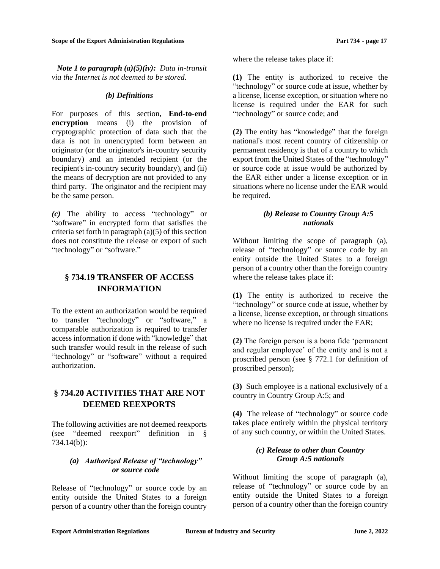*Note 1 to paragraph (a)(5)(iv): Data in-transit via the Internet is not deemed to be stored.*

#### *(b) Definitions*

For purposes of this section, **End-to-end encryption** means (i) the provision of cryptographic protection of data such that the data is not in unencrypted form between an originator (or the originator's in-country security boundary) and an intended recipient (or the recipient's in-country security boundary), and (ii) the means of decryption are not provided to any third party. The originator and the recipient may be the same person.

*(c)* The ability to access "technology" or "software" in encrypted form that satisfies the criteria set forth in paragraph  $(a)(5)$  of this section does not constitute the release or export of such "technology" or "software."

# <span id="page-16-0"></span>**§ 734.19 TRANSFER OF ACCESS INFORMATION**

To the extent an authorization would be required to transfer "technology" or "software," a comparable authorization is required to transfer access information if done with "knowledge" that such transfer would result in the release of such "technology" or "software" without a required authorization.

## <span id="page-16-1"></span>**§ 734.20 ACTIVITIES THAT ARE NOT DEEMED REEXPORTS**

The following activities are not deemed reexports (see "deemed reexport" definition in § 734.14(b)):

### *(a) Authorized Release of "technology" or source code*

Release of "technology" or source code by an entity outside the United States to a foreign person of a country other than the foreign country where the release takes place if:

**(1)** The entity is authorized to receive the "technology" or source code at issue, whether by a license, license exception, or situation where no license is required under the EAR for such "technology" or source code; and

**(2)** The entity has "knowledge" that the foreign national's most recent country of citizenship or permanent residency is that of a country to which export from the United States of the "technology" or source code at issue would be authorized by the EAR either under a license exception or in situations where no license under the EAR would be required.

### *(b) Release to Country Group A:5 nationals*

Without limiting the scope of paragraph (a), release of "technology" or source code by an entity outside the United States to a foreign person of a country other than the foreign country where the release takes place if:

**(1)** The entity is authorized to receive the "technology" or source code at issue, whether by a license, license exception, or through situations where no license is required under the EAR;

**(2)** The foreign person is a bona fide 'permanent and regular employee' of the entity and is not a proscribed person (see § 772.1 for definition of proscribed person);

**(3)** Such employee is a national exclusively of a country in Country Group A:5; and

**(4)** The release of "technology" or source code takes place entirely within the physical territory of any such country, or within the United States.

### *(c) Release to other than Country Group A:5 nationals*

Without limiting the scope of paragraph (a), release of "technology" or source code by an entity outside the United States to a foreign person of a country other than the foreign country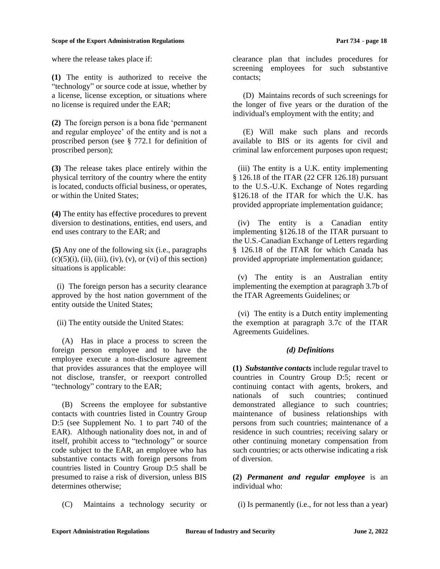where the release takes place if:

**(1)** The entity is authorized to receive the "technology" or source code at issue, whether by a license, license exception, or situations where no license is required under the EAR;

**(2)** The foreign person is a bona fide 'permanent and regular employee' of the entity and is not a proscribed person (see § 772.1 for definition of proscribed person);

**(3)** The release takes place entirely within the physical territory of the country where the entity is located, conducts official business, or operates, or within the United States;

**(4)** The entity has effective procedures to prevent diversion to destinations, entities, end users, and end uses contrary to the EAR; and

**(5)** Any one of the following six (i.e., paragraphs  $(c)(5)(i)$ , (ii), (iii), (iv), (v), or (vi) of this section) situations is applicable:

(i) The foreign person has a security clearance approved by the host nation government of the entity outside the United States;

(ii) The entity outside the United States:

(A) Has in place a process to screen the foreign person employee and to have the employee execute a non-disclosure agreement that provides assurances that the employee will not disclose, transfer, or reexport controlled "technology" contrary to the EAR;

(B) Screens the employee for substantive contacts with countries listed in Country Group D:5 (see Supplement No. 1 to part 740 of the EAR). Although nationality does not, in and of itself, prohibit access to "technology" or source code subject to the EAR, an employee who has substantive contacts with foreign persons from countries listed in Country Group D:5 shall be presumed to raise a risk of diversion, unless BIS determines otherwise;

(C) Maintains a technology security or

clearance plan that includes procedures for screening employees for such substantive contacts;

(D) Maintains records of such screenings for the longer of five years or the duration of the individual's employment with the entity; and

(E) Will make such plans and records available to BIS or its agents for civil and criminal law enforcement purposes upon request;

(iii) The entity is a U.K. entity implementing § 126.18 of the ITAR (22 CFR 126.18) pursuant to the U.S.-U.K. Exchange of Notes regarding §126.18 of the ITAR for which the U.K. has provided appropriate implementation guidance;

(iv) The entity is a Canadian entity implementing §126.18 of the ITAR pursuant to the U.S.-Canadian Exchange of Letters regarding § 126.18 of the ITAR for which Canada has provided appropriate implementation guidance;

(v) The entity is an Australian entity implementing the exemption at paragraph 3.7b of the ITAR Agreements Guidelines; or

(vi) The entity is a Dutch entity implementing the exemption at paragraph 3.7c of the ITAR Agreements Guidelines.

### *(d) Definitions*

**(1)** *Substantive contacts* include regular travel to countries in Country Group D:5; recent or continuing contact with agents, brokers, and nationals of such countries; continued demonstrated allegiance to such countries; maintenance of business relationships with persons from such countries; maintenance of a residence in such countries; receiving salary or other continuing monetary compensation from such countries; or acts otherwise indicating a risk of diversion.

**(2)** *Permanent and regular employee* is an individual who:

(i) Is permanently (i.e., for not less than a year)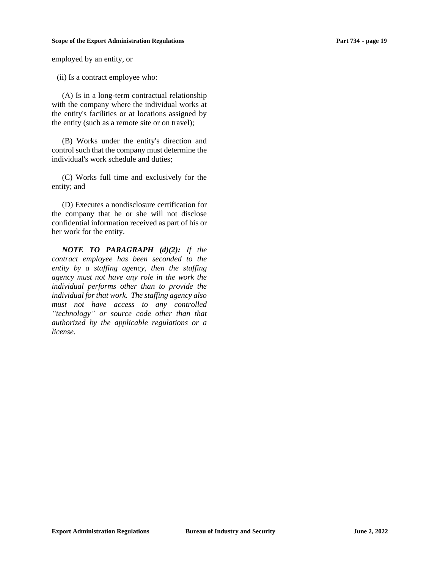employed by an entity, or

(ii) Is a contract employee who:

(A) Is in a long-term contractual relationship with the company where the individual works at the entity's facilities or at locations assigned by the entity (such as a remote site or on travel);

(B) Works under the entity's direction and control such that the company must determine the individual's work schedule and duties;

(C) Works full time and exclusively for the entity; and

(D) Executes a nondisclosure certification for the company that he or she will not disclose confidential information received as part of his or her work for the entity.

*NOTE TO PARAGRAPH (d)(2): If the contract employee has been seconded to the entity by a staffing agency, then the staffing agency must not have any role in the work the individual performs other than to provide the individual for that work. The staffing agency also must not have access to any controlled "technology" or source code other than that authorized by the applicable regulations or a license.*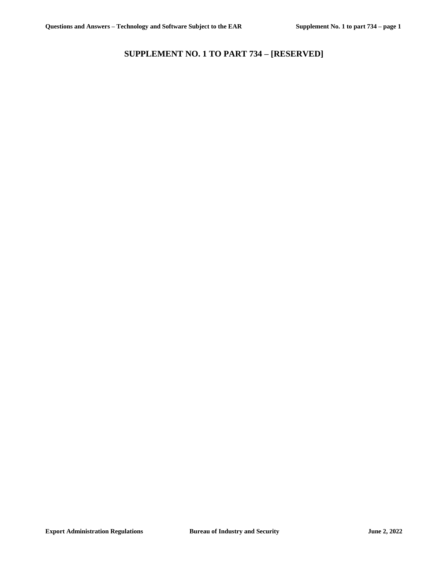# <span id="page-19-0"></span>**SUPPLEMENT NO. 1 TO PART 734 – [RESERVED]**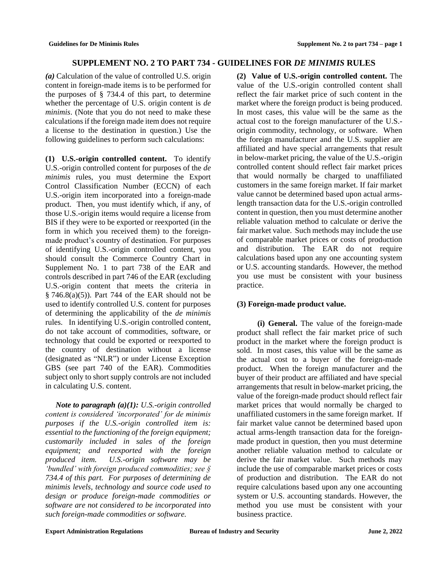# **SUPPLEMENT NO. 2 TO PART 734 - GUIDELINES FOR** *DE MINIMIS* **RULES**

<span id="page-20-0"></span>*(a)* Calculation of the value of controlled U.S. origin content in foreign-made items is to be performed for the purposes of  $\S$  734.4 of this part, to determine whether the percentage of U.S. origin content is *de minimis*. (Note that you do not need to make these calculations if the foreign made item does not require a license to the destination in question.) Use the following guidelines to perform such calculations:

**(1) U.S.-origin controlled content.** To identify U.S.-origin controlled content for purposes of the *de minimis* rules, you must determine the Export Control Classification Number (ECCN) of each U.S.-origin item incorporated into a foreign-made product. Then, you must identify which, if any, of those U.S.-origin items would require a license from BIS if they were to be exported or reexported (in the form in which you received them) to the foreignmade product's country of destination. For purposes of identifying U.S.-origin controlled content, you should consult the Commerce Country Chart in Supplement No. 1 to part 738 of the EAR and controls described in part 746 of the EAR (excluding U.S.-origin content that meets the criteria in  $§ 746.8(a)(5)$ . Part 744 of the EAR should not be used to identify controlled U.S. content for purposes of determining the applicability of the *de minimis* rules. In identifying U.S.-origin controlled content, do not take account of commodities, software, or technology that could be exported or reexported to the country of destination without a license (designated as "NLR") or under License Exception GBS (see part 740 of the EAR). Commodities subject only to short supply controls are not included in calculating U.S. content.

*Note to paragraph (a)(1): U.S.-origin controlled content is considered 'incorporated' for de minimis purposes if the U.S.-origin controlled item is: essential to the functioning of the foreign equipment; customarily included in sales of the foreign equipment; and reexported with the foreign produced item. U.S.-origin software may be 'bundled' with foreign produced commodities; see § 734.4 of this part. For purposes of determining de minimis levels, technology and source code used to design or produce foreign-made commodities or software are not considered to be incorporated into such foreign-made commodities or software.* 

**(2) Value of U.S.-origin controlled content.** The value of the U.S.-origin controlled content shall reflect the fair market price of such content in the market where the foreign product is being produced. In most cases, this value will be the same as the actual cost to the foreign manufacturer of the U.S. origin commodity, technology, or software. When the foreign manufacturer and the U.S. supplier are affiliated and have special arrangements that result in below-market pricing, the value of the U.S.-origin controlled content should reflect fair market prices that would normally be charged to unaffiliated customers in the same foreign market. If fair market value cannot be determined based upon actual armslength transaction data for the U.S.-origin controlled content in question, then you must determine another reliable valuation method to calculate or derive the fair market value. Such methods may include the use of comparable market prices or costs of production and distribution. The EAR do not require calculations based upon any one accounting system or U.S. accounting standards. However, the method you use must be consistent with your business practice.

## **(3) Foreign-made product value.**

**(i) General.** The value of the foreign-made product shall reflect the fair market price of such product in the market where the foreign product is sold. In most cases, this value will be the same as the actual cost to a buyer of the foreign-made product. When the foreign manufacturer and the buyer of their product are affiliated and have special arrangements that result in below-market pricing, the value of the foreign-made product should reflect fair market prices that would normally be charged to unaffiliated customers in the same foreign market. If fair market value cannot be determined based upon actual arms-length transaction data for the foreignmade product in question, then you must determine another reliable valuation method to calculate or derive the fair market value. Such methods may include the use of comparable market prices or costs of production and distribution. The EAR do not require calculations based upon any one accounting system or U.S. accounting standards. However, the method you use must be consistent with your business practice.